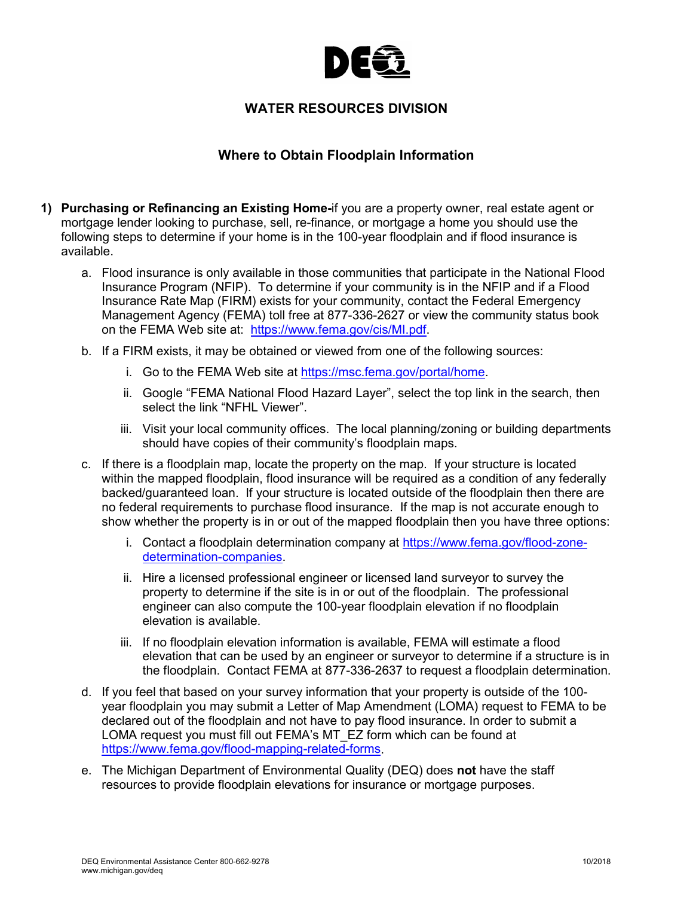

## **WATER RESOURCES DIVISION**

## **Where to Obtain Floodplain Information**

- **1) Purchasing or Refinancing an Existing Home-**if you are a property owner, real estate agent or mortgage lender looking to purchase, sell, re-finance, or mortgage a home you should use the following steps to determine if your home is in the 100-year floodplain and if flood insurance is available.
	- a. Flood insurance is only available in those communities that participate in the National Flood Insurance Program (NFIP). To determine if your community is in the NFIP and if a Flood Insurance Rate Map (FIRM) exists for your community, contact the Federal Emergency Management Agency (FEMA) toll free at 877-336-2627 or view the community status book on the FEMA Web site at: [https://www.fema.gov/cis/MI.pdf.](https://www.fema.gov/cis/MI.pdf)
	- b. If a FIRM exists, it may be obtained or viewed from one of the following sources:
		- i. Go to the FEMA Web site at [https://msc.fema.gov/portal/home.](https://msc.fema.gov/portal/home)
		- ii. Google "FEMA National Flood Hazard Layer", select the top link in the search, then select the link "NFHL Viewer".
		- iii. Visit your local community offices. The local planning/zoning or building departments should have copies of their community's floodplain maps.
	- c. If there is a floodplain map, locate the property on the map. If your structure is located within the mapped floodplain, flood insurance will be required as a condition of any federally backed/guaranteed loan. If your structure is located outside of the floodplain then there are no federal requirements to purchase flood insurance. If the map is not accurate enough to show whether the property is in or out of the mapped floodplain then you have three options:
		- i. Contact a floodplain determination company at [https://www.fema.gov/flood-zone](https://www.fema.gov/flood-zone-determination-companies)[determination-companies.](https://www.fema.gov/flood-zone-determination-companies)
		- ii. Hire a licensed professional engineer or licensed land surveyor to survey the property to determine if the site is in or out of the floodplain. The professional engineer can also compute the 100-year floodplain elevation if no floodplain elevation is available.
		- iii. If no floodplain elevation information is available, FEMA will estimate a flood elevation that can be used by an engineer or surveyor to determine if a structure is in the floodplain. Contact FEMA at 877-336-2637 to request a floodplain determination.
	- d. If you feel that based on your survey information that your property is outside of the 100 year floodplain you may submit a Letter of Map Amendment (LOMA) request to FEMA to be declared out of the floodplain and not have to pay flood insurance. In order to submit a LOMA request you must fill out FEMA's MT\_EZ form which can be found at [https://www.fema.gov/flood-mapping-related-forms.](https://www.fema.gov/flood-mapping-related-forms)
	- e. The Michigan Department of Environmental Quality (DEQ) does **not** have the staff resources to provide floodplain elevations for insurance or mortgage purposes.